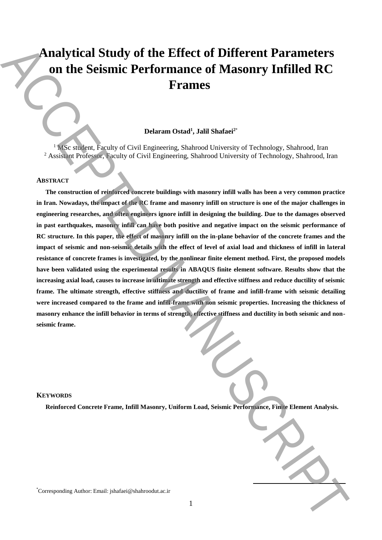# **Analytical Study of the Effect of Different Parameters on the Seismic Performance of Masonry Infilled RC Frames**

# **Delaram Ostad<sup>1</sup> , Jalil Shafaei<sup>2</sup>**\*

<sup>1</sup> MSc student, Faculty of Civil Engineering, Shahrood University of Technology, Shahrood, Iran <sup>2</sup> Assistant Professor, Faculty of Civil Engineering, Shahrood University of Technology, Shahrood, Iran

## **ABSTRACT**

**The construction of reinforced concrete buildings with masonry infill walls has been a very common practice in Iran. Nowadays, the impact of the RC frame and masonry infill on structure is one of the major challenges in engineering researches, and often engineers ignore infill in designing the building. Due to the damages observed in past earthquakes, masonry infill can have both positive and negative impact on the seismic performance of RC structure. In this paper, the effect of masonry infill on the in-plane behavior of the concrete frames and the impact of seismic and non-seismic details with the effect of level of axial load and thickness of infill in lateral resistance of concrete frames is investigated, by the nonlinear finite element method. First, the proposed models have been validated using the experimental results in ABAQUS finite element software. Results show that the increasing axial load, causes to increase in ultimate strength and effective stiffness and reduce ductility of seismic frame. The ultimate strength, effective stiffness and ductility of frame and infill-frame with seismic detailing were increased compared to the frame and infill-frame with non seismic properties. Increasing the thickness of masonry enhance the infill behavior in terms of strength, effective stiffness and ductility in both seismic and nonseismic frame. Analytical Study of the Effect of Different Parameters**<br> **Exception Corresponding Author:** Frames and the Corresponding Authorities of the Corresponding Corresponding Author:<br>  $\frac{1}{2}$  Although Corresponding Author:  $\frac$ 

## **KEYWORDS**

**Reinforced Concrete Frame, Infill Masonry, Uniform Load, Seismic Performance, Finite Element Analysis.**

**.**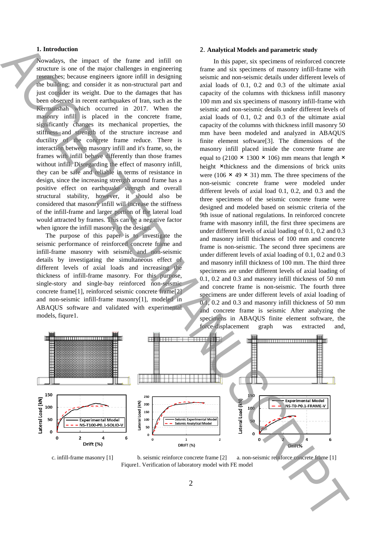## **1. Introduction**

Nowadays, the impact of the frame and infill on structure is one of the major challenges in engineering researches; because engineers ignore infill in designing the building; and consider it as non-structural part and just consider its weight. Due to the damages that has been observed in recent earthquakes of Iran, such as the Kermanshah which occurred in 2017. When the masonry infill is placed in the concrete frame, significantly changes its mechanical properties, the stiffness and strength of the structure increase and ductility of the concrete frame reduce. There is interaction between masonry infill and it's frame, so, the frames with infill behave differently than those frames without infill. Disregarding the effect of masonry infill, they can be safe and reliable in terms of resistance in design, since the increasing strength around frame has a positive effect on earthquake strength and overall structural stability, however, it should also be considered that masonry infill will increase the stiffness of the infill-frame and larger portion of the lateral load would attracted by frames. This can be a negative factor when ignore the infill masonry in the design.

The purpose of this paper is to investigate the seismic performance of reinforced concrete frame and infill-frame masonry with seismic and non-seismic details by investigating the simultaneous effect of different levels of axial loads and increasing the thickness of infill-frame masonry. For this purpose, single-story and single-bay reinforced non-seismic concrete frame[1], reinforced seismic concrete frame[2] and non-seismic infill-frame masonry[1], modeled in ABAQUS software and validated with experimental models, fiqure1.

#### 2. **Analytical Models and parametric study**

In this paper, six specimens of reinforced concrete frame and six specimens of masonry infill-frame with seismic and non-seismic details under different levels of axial loads of 0.1, 0.2 and 0.3 of the ultimate axial capacity of the columns with thickness infill masonry 100 mm and six specimens of masonry infill-frame with seismic and non-seismic details under different levels of axial loads of 0.1, 0.2 and 0.3 of the ultimate axial capacity of the columns with thickness infill masonry 50 mm have been modeled and analyzed in ABAQUS finite element software[3]. The dimensions of the masonry infill placed inside the concrete frame are equal to (2100  $\times$  1300  $\times$  106) mm means that length  $\times$ height ×thickness and the dimensions of brick units were (106  $\times$  49  $\times$  31) mm. The three specimens of the non-seismic concrete frame were modeled under different levels of axial load 0.1, 0.2, and 0.3 and the three specimens of the seismic concrete frame were designed and modeled based on seismic criteria of the 9th issue of national regulations. In reinforced concrete frame with masonry infill, the first three specimens are under different levels of axial loading of 0.1, 0.2 and 0.3 and masonry infill thickness of 100 mm and concrete frame is non-seismic. The second three specimens are under different levels of axial loading of 0.1, 0.2 and 0.3 and masonry infill thickness of 100 mm. The third three specimens are under different levels of axial loading of 0.1, 0.2 and 0.3 and masonry infill thickness of 50 mm and concrete frame is non-seismic. The fourth three specimens are under different levels of axial loading of 0.1, 0.2 and 0.3 and masonry infill thickness of 50 mm and concrete frame is seismic After analyzing the specimens in ABAQUS finite element software, the force-displacement graph was extracted and, Financial distribution of laboratory in the analysis of laboratory model with FE model with FE model and the state of laboratory model with FE model and the state of laboration of laboratory model with FE model and the st



c. infill-frame masonry [1] b. seismic reinforce concrete frame [2] a. non-seismic reinforce concrete frame [1]